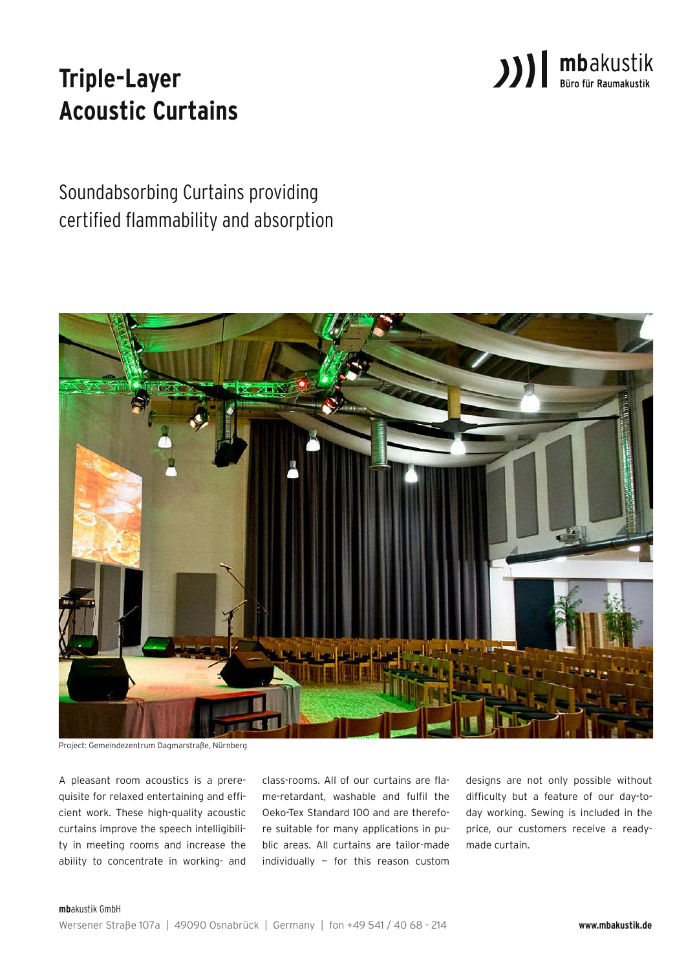

# **Triple-Layer Acoustic Curtains**

Soundabsorbing Curtains providing certified flammability and absorption



Project: Gemeindezentrum Dagmarstraße, Nürnberg

A pleasant room acoustics is a prerequisite for relaxed entertaining and efficient work. These high-quality acoustic curtains improve the speech intelligibility in meeting rooms and increase the ability to concentrate in working- and

class-rooms. All of our curtains are flame-retardant, washable and fulfil the Oeko-Tex Standard 100 and are therefore suitable for many applications in public areas. All curtains are tailor-made individually — for this reason custom designs are not only possible without difficulty but a feature of our day-today working. Sewing is included in the price, our customers receive a readymade curtain.